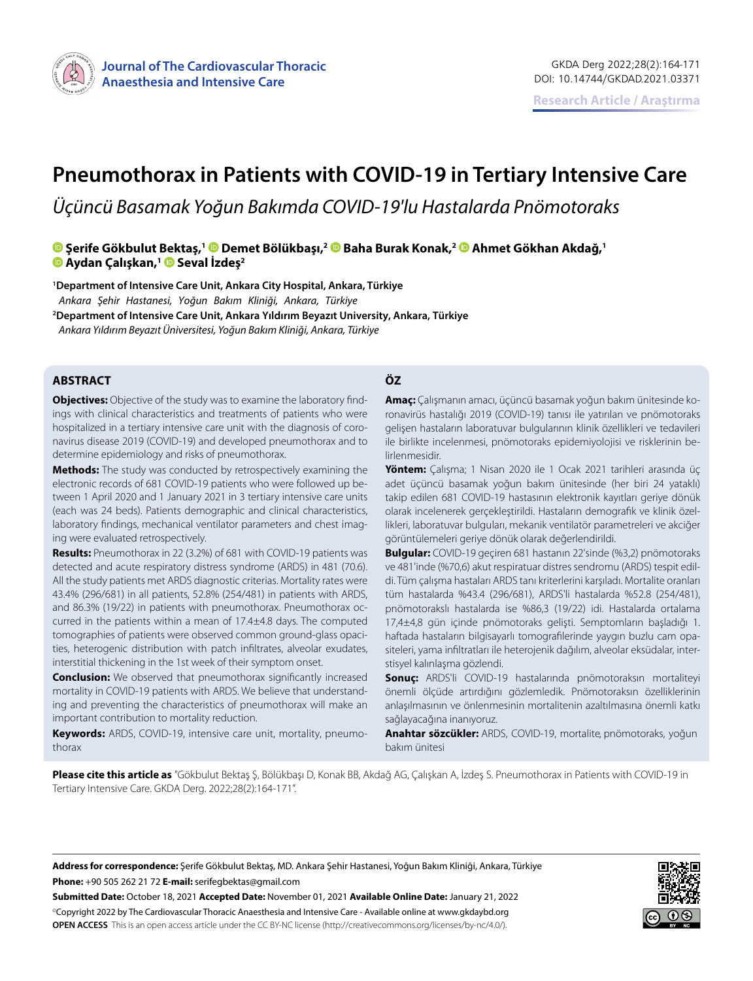

# **Pneumothorax in Patients with COVID-19 in Tertiary Intensive Care**

*Üçüncü Basamak Yoğun Bakımda COVID-19'lu Hastalarda Pnömotoraks*

# **Şerife Gökbulut Bektaş,1Demet Bölükbaşı,[2](https://orcid.org/0000-0002-3710-8985) Baha Burak Konak,[2](https://orcid.org/0000-0002-7645-6640) Ahmet Gökhan Akdağ,1 Aydan Çalışkan,1Seval İzdeş2**

**<sup>1</sup>Department of Intensive Care Unit, Ankara City Hospital, Ankara, Türkiye**  *Ankara Şehir Hastanesi, Yoğun Bakım Kliniği, Ankara, Türkiye* **<sup>2</sup>Department of Intensive Care Unit, Ankara Yıldırım Beyazıt University, Ankara, Türkiye**

*Ankara Yıldırım Beyazıt Üniversitesi, Yoğun Bakım Kliniği, Ankara, Türkiye*

### **ABSTRACT ÖZ**

**Objectives:** Objective of the study was to examine the laboratory findings with clinical characteristics and treatments of patients who were hospitalized in a tertiary intensive care unit with the diagnosis of coronavirus disease 2019 (COVID-19) and developed pneumothorax and to determine epidemiology and risks of pneumothorax.

**Methods:** The study was conducted by retrospectively examining the electronic records of 681 COVID-19 patients who were followed up between 1 April 2020 and 1 January 2021 in 3 tertiary intensive care units (each was 24 beds). Patients demographic and clinical characteristics, laboratory findings, mechanical ventilator parameters and chest imaging were evaluated retrospectively.

**Results:** Pneumothorax in 22 (3.2%) of 681 with COVID-19 patients was detected and acute respiratory distress syndrome (ARDS) in 481 (70.6). All the study patients met ARDS diagnostic criterias. Mortality rates were 43.4% (296/681) in all patients, 52.8% (254/481) in patients with ARDS, and 86.3% (19/22) in patients with pneumothorax. Pneumothorax occurred in the patients within a mean of 17.4±4.8 days. The computed tomographies of patients were observed common ground-glass opacities, heterogenic distribution with patch infiltrates, alveolar exudates, interstitial thickening in the 1st week of their symptom onset.

**Conclusion:** We observed that pneumothorax significantly increased mortality in COVID-19 patients with ARDS. We believe that understanding and preventing the characteristics of pneumothorax will make an important contribution to mortality reduction.

**Keywords:** ARDS, COVID-19, intensive care unit, mortality, pneumothorax

**Amaç:** Çalışmanın amacı, üçüncü basamak yoğun bakım ünitesinde koronavirüs hastalığı 2019 (COVID-19) tanısı ile yatırılan ve pnömotoraks gelişen hastaların laboratuvar bulgularının klinik özellikleri ve tedavileri ile birlikte incelenmesi, pnömotoraks epidemiyolojisi ve risklerinin belirlenmesidir.

**Yöntem:** Çalışma; 1 Nisan 2020 ile 1 Ocak 2021 tarihleri arasında üç adet üçüncü basamak yoğun bakım ünitesinde (her biri 24 yataklı) takip edilen 681 COVID-19 hastasının elektronik kayıtları geriye dönük olarak incelenerek gerçekleştirildi. Hastaların demografik ve klinik özellikleri, laboratuvar bulguları, mekanik ventilatör parametreleri ve akciğer görüntülemeleri geriye dönük olarak değerlendirildi.

**Bulgular:** COVID-19 geçiren 681 hastanın 22'sinde (%3,2) pnömotoraks ve 481'inde (%70,6) akut respiratuar distres sendromu (ARDS) tespit edildi. Tüm çalışma hastaları ARDS tanı kriterlerini karşıladı. Mortalite oranları tüm hastalarda %43.4 (296/681), ARDS'li hastalarda %52.8 (254/481), pnömotorakslı hastalarda ise %86,3 (19/22) idi. Hastalarda ortalama 17,4±4,8 gün içinde pnömotoraks gelişti. Semptomların başladığı 1. haftada hastaların bilgisayarlı tomografilerinde yaygın buzlu cam opasiteleri, yama infiltratları ile heterojenik dağılım, alveolar eksüdalar, interstisyel kalınlaşma gözlendi.

**Sonuç:** ARDS'li COVID-19 hastalarında pnömotoraksın mortaliteyi önemli ölçüde artırdığını gözlemledik. Pnömotoraksın özelliklerinin anlaşılmasının ve önlenmesinin mortalitenin azaltılmasına önemli katkı sağlayacağına inanıyoruz.

Anahtar sözcükler: ARDS, COVID-19, mortalite, pnömotoraks, yoğun bakım ünitesi

**Please cite this article as** "Gökbulut Bektaş Ş, Bölükbaşı D, Konak BB, Akdağ AG, Çalışkan A, İzdeş S. Pneumothorax in Patients with COVID-19 in Tertiary Intensive Care. GKDA Derg. 2022;28(2):164-171".

**Address for correspondence:** Şerife Gökbulut Bektaş, MD. Ankara Şehir Hastanesi, Yoğun Bakım Kliniği, Ankara, Türkiye **Phone:** +90 505 262 21 72 **E-mail:** serifegbektas@gmail.com

**Submitted Date:** October 18, 2021 **Accepted Date:** November 01, 2021 **Available Online Date:** January 21, 2022 ©Copyright 2022 by The Cardiovascular Thoracic Anaesthesia and Intensive Care - Available online at www.gkdaybd.org **OPEN ACCESS** This is an open access article under the CC BY-NC license (http://creativecommons.org/licenses/by-nc/4.0/).

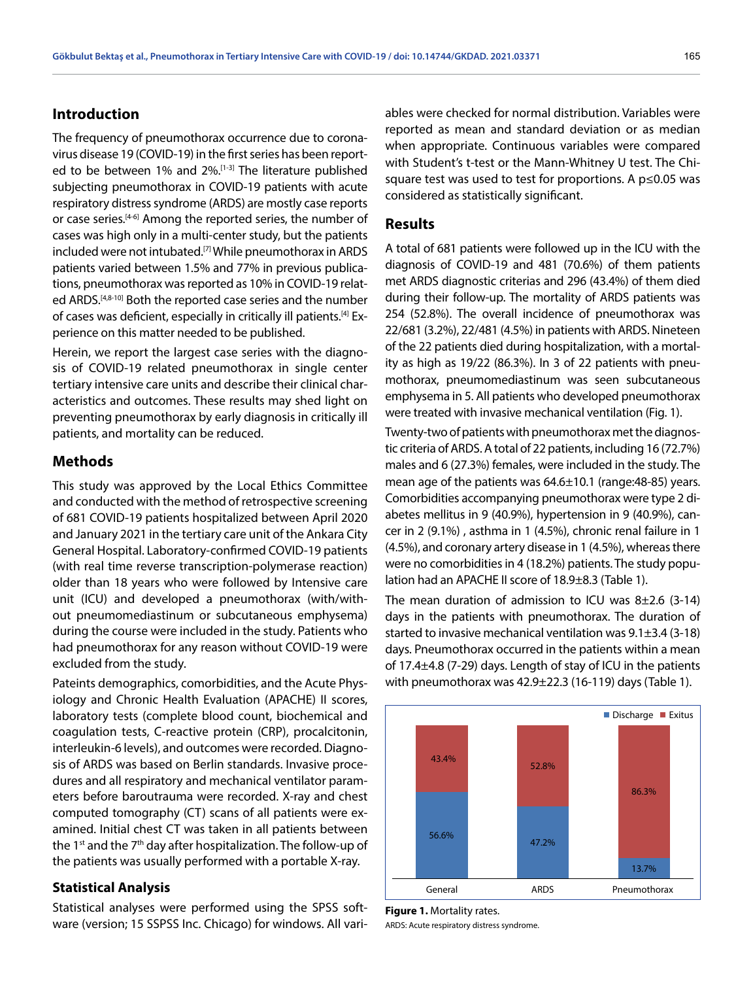# **Introduction**

The frequency of pneumothorax occurrence due to coronavirus disease 19 (COVID-19) in the first series has been reported to be between 1% and 2%.<sup>[1-3]</sup> The literature published subjecting pneumothorax in COVID-19 patients with acute respiratory distress syndrome (ARDS) are mostly case reports or case series.<sup>[4-6]</sup> Among the reported series, the number of cases was high only in a multi-center study, but the patients included were not intubated.[7] While pneumothorax in ARDS patients varied between 1.5% and 77% in previous publications, pneumothorax was reported as 10% in COVID-19 related ARDS.<sup>[4,8-10]</sup> Both the reported case series and the number of cases was deficient, especially in critically ill patients.[4] Experience on this matter needed to be published.

Herein, we report the largest case series with the diagnosis of COVID-19 related pneumothorax in single center tertiary intensive care units and describe their clinical characteristics and outcomes. These results may shed light on preventing pneumothorax by early diagnosis in critically ill patients, and mortality can be reduced.

### **Methods**

This study was approved by the Local Ethics Committee and conducted with the method of retrospective screening of 681 COVID-19 patients hospitalized between April 2020 and January 2021 in the tertiary care unit of the Ankara City General Hospital. Laboratory-confirmed COVID-19 patients (with real time reverse transcription-polymerase reaction) older than 18 years who were followed by Intensive care unit (ICU) and developed a pneumothorax (with/without pneumomediastinum or subcutaneous emphysema) during the course were included in the study. Patients who had pneumothorax for any reason without COVID-19 were excluded from the study.

Pateints demographics, comorbidities, and the Acute Physiology and Chronic Health Evaluation (APACHE) II scores, laboratory tests (complete blood count, biochemical and coagulation tests, C-reactive protein (CRP), procalcitonin, interleukin-6 levels), and outcomes were recorded. Diagnosis of ARDS was based on Berlin standards. Invasive procedures and all respiratory and mechanical ventilator parameters before baroutrauma were recorded. X-ray and chest computed tomography (CT) scans of all patients were examined. Initial chest CT was taken in all patients between the 1<sup>st</sup> and the  $7<sup>th</sup>$  day after hospitalization. The follow-up of the patients was usually performed with a portable X-ray.

#### **Statistical Analysis**

Statistical analyses were performed using the SPSS software (version; 15 SSPSS Inc. Chicago) for windows. All variables were checked for normal distribution. Variables were reported as mean and standard deviation or as median when appropriate. Continuous variables were compared with Student's t-test or the Mann-Whitney U test. The Chisquare test was used to test for proportions. A p≤0.05 was considered as statistically significant.

# **Results**

A total of 681 patients were followed up in the ICU with the diagnosis of COVID-19 and 481 (70.6%) of them patients met ARDS diagnostic criterias and 296 (43.4%) of them died during their follow-up. The mortality of ARDS patients was 254 (52.8%). The overall incidence of pneumothorax was 22/681 (3.2%), 22/481 (4.5%) in patients with ARDS. Nineteen of the 22 patients died during hospitalization, with a mortality as high as 19/22 (86.3%). In 3 of 22 patients with pneumothorax, pneumomediastinum was seen subcutaneous emphysema in 5. All patients who developed pneumothorax were treated with invasive mechanical ventilation (Fig. 1).

Twenty-two of patients with pneumothorax met the diagnostic criteria of ARDS. A total of 22 patients, including 16 (72.7%) males and 6 (27.3%) females, were included in the study. The mean age of the patients was 64.6±10.1 (range:48-85) years. Comorbidities accompanying pneumothorax were type 2 diabetes mellitus in 9 (40.9%), hypertension in 9 (40.9%), cancer in 2 (9.1%) , asthma in 1 (4.5%), chronic renal failure in 1 (4.5%), and coronary artery disease in 1 (4.5%), whereas there were no comorbidities in 4 (18.2%) patients. The study population had an APACHE II score of 18.9±8.3 (Table 1).

The mean duration of admission to ICU was  $8\pm2.6$  (3-14) days in the patients with pneumothorax. The duration of started to invasive mechanical ventilation was 9.1±3.4 (3-18) days. Pneumothorax occurred in the patients within a mean of 17.4±4.8 (7-29) days. Length of stay of ICU in the patients with pneumothorax was 42.9±22.3 (16-119) days (Table 1).



**Figure 1.** Mortality rates. ARDS: Acute respiratory distress syndrome.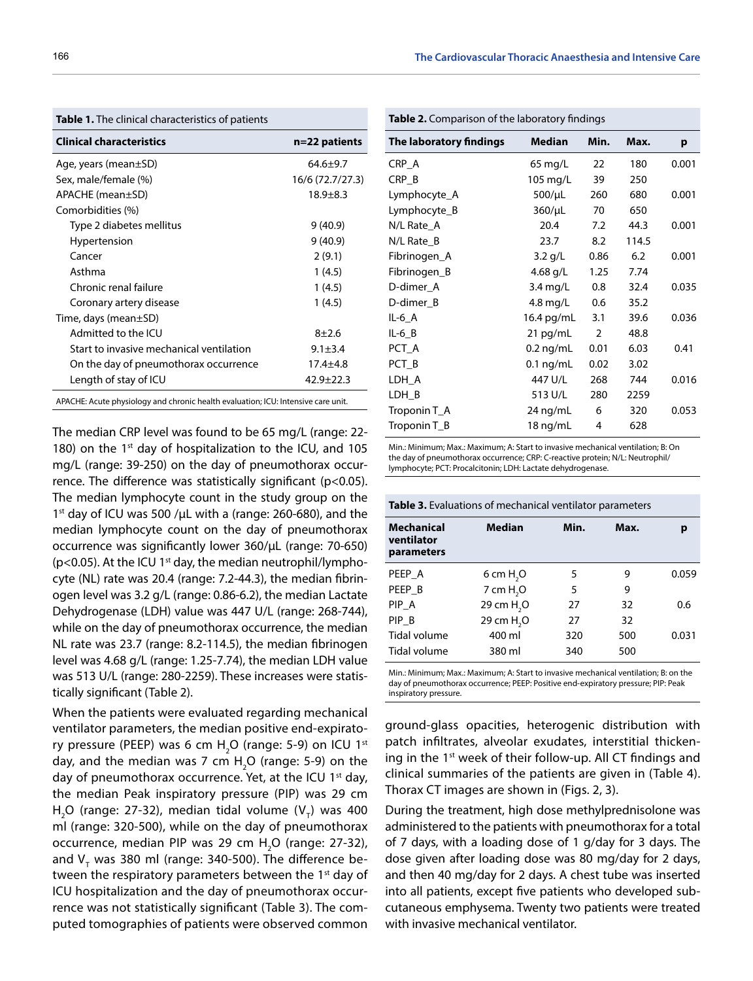**The laboratory findings Median Min. Max. p**

| <b>Clinical characteristics</b>                                                   | n=22 patients    |
|-----------------------------------------------------------------------------------|------------------|
| Age, years (mean $\pm$ SD)                                                        | $64.6 + 9.7$     |
| Sex, male/female (%)                                                              | 16/6 (72.7/27.3) |
| APACHE (mean±SD)                                                                  | $18.9 + 8.3$     |
| Comorbidities (%)                                                                 |                  |
| Type 2 diabetes mellitus                                                          | 9(40.9)          |
| Hypertension                                                                      | 9(40.9)          |
| Cancer                                                                            | 2(9.1)           |
| Asthma                                                                            | 1(4.5)           |
| Chronic renal failure                                                             | 1(4.5)           |
| Coronary artery disease                                                           | 1 (4.5)          |
| Time, days (mean $\pm$ SD)                                                        |                  |
| Admitted to the ICU                                                               | $8 + 2.6$        |
| Start to invasive mechanical ventilation                                          | $9.1 \pm 3.4$    |
| On the day of pneumothorax occurrence                                             | $17.4 + 4.8$     |
| Length of stay of ICU                                                             | $42.9 + 22.3$    |
| APACHE: Acute physiology and chronic health evaluation; ICU: Intensive care unit. |                  |

**Table 1.** The clinical characteristics of patients

**Table 2.** Comparison of the laboratory findings

CRP\_A 65 mg/L 22 180 0.001 CRP\_B 105 mg/L 39 250 Lymphocyte\_A 500/µL 260 680 0.001 Lymphocyte\_B 360/µL 70 650 N/L Rate\_A 20.4 7.2 44.3 0.001 N/L Rate B 23.7 8.2 114.5 Fibrinogen\_A 3.2 g/L 0.86 6.2 0.001 Fibrinogen\_B 4.68 g/L 1.25 7.74 D-dimer A 3.4 mg/L 0.8 32.4 0.035 D-dimer\_B 4.8 mg/L 0.6 35.2 IL-6\_A 16.4 pg/mL 3.1 39.6 0.036 IL-6\_B 21 pg/mL 2 48.8 PCT\_A 0.2 ng/mL 0.01 6.03 0.41 PCT\_B 0.1 ng/mL 0.02 3.02 LDH A 447 U/L 268 744 0.016 LDH\_B 513 U/L 280 2259 Troponin T\_A 24 ng/mL 6 320 0.053 Troponin T\_B 18 ng/mL 4 628

Min.: Minimum; Max.: Maximum; A: Start to invasive mechanical ventilation; B: On the day of pneumothorax occurrence; CRP: C-reactive protein; N/L: Neutrophil/ lymphocyte; PCT: Procalcitonin; LDH: Lactate dehydrogenase.

| <b>Table 3.</b> Evaluations of mechanical ventilator parameters |                        |      |      |       |  |  |  |  |
|-----------------------------------------------------------------|------------------------|------|------|-------|--|--|--|--|
| <b>Mechanical</b><br>ventilator<br>parameters                   | <b>Median</b>          | Min. | Max. |       |  |  |  |  |
| PEEP A                                                          | 6 cm H <sub>2</sub> O  | 5    | 9    | 0.059 |  |  |  |  |
| PEEP B                                                          | 7 cm H <sub>2</sub> O  | 5    | 9    |       |  |  |  |  |
| PIP A                                                           | 29 cm H <sub>2</sub> O | 27   | 32   | 0.6   |  |  |  |  |
| PIP B                                                           | 29 cm H <sub>2</sub> O | 27   | 32   |       |  |  |  |  |
| Tidal volume                                                    | 400 ml                 | 320  | 500  | 0.031 |  |  |  |  |
| Tidal volume                                                    | 380 ml                 | 340  | 500  |       |  |  |  |  |

Min.: Minimum; Max.: Maximum; A: Start to invasive mechanical ventilation; B: on the day of pneumothorax occurrence; PEEP: Positive end-expiratory pressure; PIP: Peak inspiratory pressure.

ground-glass opacities, heterogenic distribution with patch infiltrates, alveolar exudates, interstitial thickening in the 1st week of their follow-up. All CT findings and clinical summaries of the patients are given in (Table 4). Thorax CT images are shown in (Figs. 2, 3).

During the treatment, high dose methylprednisolone was administered to the patients with pneumothorax for a total of 7 days, with a loading dose of 1 g/day for 3 days. The dose given after loading dose was 80 mg/day for 2 days, and then 40 mg/day for 2 days. A chest tube was inserted into all patients, except five patients who developed subcutaneous emphysema. Twenty two patients were treated with invasive mechanical ventilator.

The median CRP level was found to be 65 mg/L (range: 22- 180) on the  $1<sup>st</sup>$  day of hospitalization to the ICU, and 105 mg/L (range: 39-250) on the day of pneumothorax occurrence. The difference was statistically significant (p<0.05). The median lymphocyte count in the study group on the 1st day of ICU was 500 / $\mu$ L with a (range: 260-680), and the median lymphocyte count on the day of pneumothorax occurrence was significantly lower 360/µL (range: 70-650) ( $p$ <0.05). At the ICU 1<sup>st</sup> day, the median neutrophil/lymphocyte (NL) rate was 20.4 (range: 7.2-44.3), the median fibrinogen level was 3.2 g/L (range: 0.86-6.2), the median Lactate Dehydrogenase (LDH) value was 447 U/L (range: 268-744), while on the day of pneumothorax occurrence, the median NL rate was 23.7 (range: 8.2-114.5), the median fibrinogen level was 4.68 g/L (range: 1.25-7.74), the median LDH value was 513 U/L (range: 280-2259). These increases were statistically significant (Table 2).

When the patients were evaluated regarding mechanical ventilator parameters, the median positive end-expiratory pressure (PEEP) was 6 cm  $H_2O$  (range: 5-9) on ICU 1st day, and the median was 7 cm  $H_2O$  (range: 5-9) on the day of pneumothorax occurrence. Yet, at the ICU  $1<sup>st</sup>$  day, the median Peak inspiratory pressure (PIP) was 29 cm  $H_2O$  (range: 27-32), median tidal volume (V<sub>T</sub>) was 400 ml (range: 320-500), while on the day of pneumothorax occurrence, median PIP was 29 cm  $H_2O$  (range: 27-32), and V $_{_{\rm T}}$  was 380 ml (range: 340-500). The difference between the respiratory parameters between the 1<sup>st</sup> day of ICU hospitalization and the day of pneumothorax occurrence was not statistically significant (Table 3). The computed tomographies of patients were observed common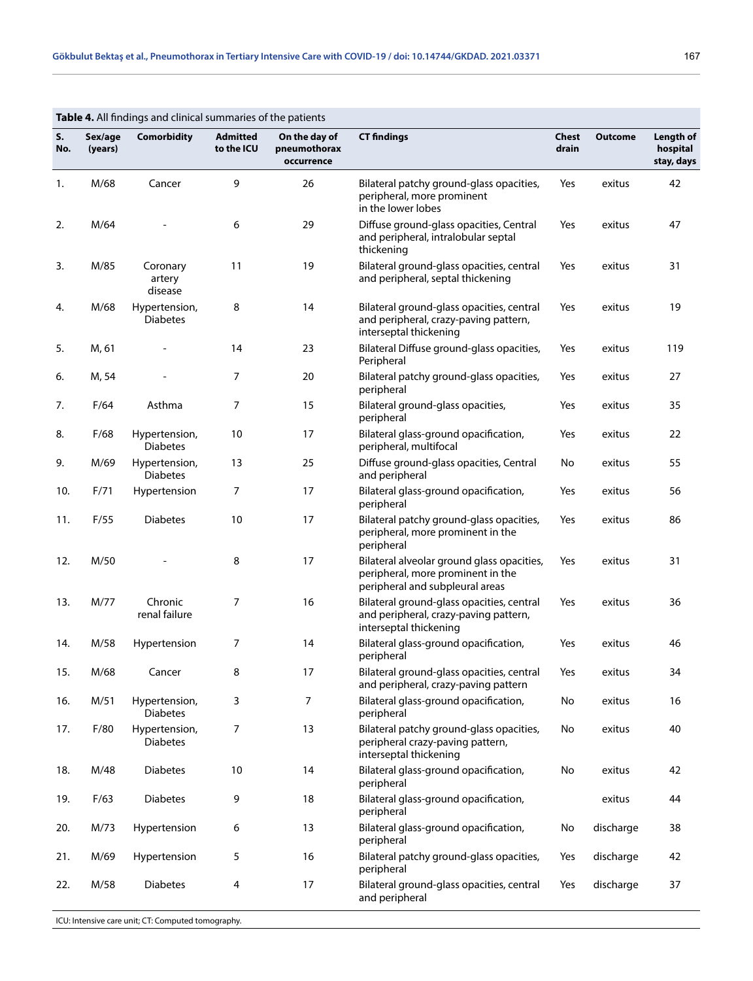|           | Table 4. All findings and clinical summaries of the patients |                                  |                               |                                             |                                                                                                                    |                |                |                                     |  |  |
|-----------|--------------------------------------------------------------|----------------------------------|-------------------------------|---------------------------------------------|--------------------------------------------------------------------------------------------------------------------|----------------|----------------|-------------------------------------|--|--|
| S.<br>No. | Sex/age<br>(years)                                           | <b>Comorbidity</b>               | <b>Admitted</b><br>to the ICU | On the day of<br>pneumothorax<br>occurrence | <b>CT findings</b>                                                                                                 | Chest<br>drain | <b>Outcome</b> | Length of<br>hospital<br>stay, days |  |  |
| 1.        | M/68                                                         | Cancer                           | 9                             | 26                                          | Bilateral patchy ground-glass opacities,<br>peripheral, more prominent<br>in the lower lobes                       | Yes            | exitus         | 42                                  |  |  |
| 2.        | M/64                                                         |                                  | 6                             | 29                                          | Diffuse ground-glass opacities, Central<br>and peripheral, intralobular septal<br>thickening                       | Yes            | exitus         | 47                                  |  |  |
| 3.        | M/85                                                         | Coronary<br>artery<br>disease    | 11                            | 19                                          | Bilateral ground-glass opacities, central<br>and peripheral, septal thickening                                     | Yes            | exitus         | 31                                  |  |  |
| 4.        | M/68                                                         | Hypertension,<br><b>Diabetes</b> | 8                             | 14                                          | Bilateral ground-glass opacities, central<br>and peripheral, crazy-paving pattern,<br>interseptal thickening       | Yes            | exitus         | 19                                  |  |  |
| 5.        | M, 61                                                        |                                  | 14                            | 23                                          | Bilateral Diffuse ground-glass opacities,<br>Peripheral                                                            | Yes            | exitus         | 119                                 |  |  |
| 6.        | M, 54                                                        |                                  | 7                             | 20                                          | Bilateral patchy ground-glass opacities,<br>peripheral                                                             | Yes            | exitus         | 27                                  |  |  |
| 7.        | F/64                                                         | Asthma                           | 7                             | 15                                          | Bilateral ground-glass opacities,<br>peripheral                                                                    | Yes            | exitus         | 35                                  |  |  |
| 8.        | F/68                                                         | Hypertension,<br><b>Diabetes</b> | 10                            | 17                                          | Bilateral glass-ground opacification,<br>peripheral, multifocal                                                    | Yes            | exitus         | 22                                  |  |  |
| 9.        | M/69                                                         | Hypertension,<br><b>Diabetes</b> | 13                            | 25                                          | Diffuse ground-glass opacities, Central<br>and peripheral                                                          | No             | exitus         | 55                                  |  |  |
| 10.       | F/71                                                         | Hypertension                     | 7                             | 17                                          | Bilateral glass-ground opacification,<br>peripheral                                                                | Yes            | exitus         | 56                                  |  |  |
| 11.       | F/55                                                         | <b>Diabetes</b>                  | 10                            | 17                                          | Bilateral patchy ground-glass opacities,<br>peripheral, more prominent in the<br>peripheral                        | Yes            | exitus         | 86                                  |  |  |
| 12.       | M/50                                                         |                                  | 8                             | 17                                          | Bilateral alveolar ground glass opacities,<br>peripheral, more prominent in the<br>peripheral and subpleural areas | Yes            | exitus         | 31                                  |  |  |
| 13.       | M/77                                                         | Chronic<br>renal failure         | 7                             | 16                                          | Bilateral ground-glass opacities, central<br>and peripheral, crazy-paving pattern,<br>interseptal thickening       | Yes            | exitus         | 36                                  |  |  |
| 14.       | M/58                                                         | Hypertension                     | 7                             | 14                                          | Bilateral glass-ground opacification,<br>peripheral                                                                | Yes            | exitus         | 46                                  |  |  |
| 15.       | M/68                                                         | Cancer                           | 8                             | 17                                          | Bilateral ground-glass opacities, central<br>and peripheral, crazy-paving pattern                                  | Yes            | exitus         | 34                                  |  |  |
| 16.       | M/51                                                         | Hypertension,<br>Diabetes        | 3                             | 7                                           | Bilateral glass-ground opacification,<br>peripheral                                                                | No             | exitus         | 16                                  |  |  |
| 17.       | F/80                                                         | Hypertension,<br><b>Diabetes</b> | 7                             | 13                                          | Bilateral patchy ground-glass opacities,<br>peripheral crazy-paving pattern,<br>interseptal thickening             | No             | exitus         | 40                                  |  |  |
| 18.       | M/48                                                         | <b>Diabetes</b>                  | 10                            | 14                                          | Bilateral glass-ground opacification,<br>peripheral                                                                | No             | exitus         | 42                                  |  |  |
| 19.       | F/63                                                         | <b>Diabetes</b>                  | 9                             | 18                                          | Bilateral glass-ground opacification,<br>peripheral                                                                |                | exitus         | 44                                  |  |  |
| 20.       | M/73                                                         | Hypertension                     | 6                             | 13                                          | Bilateral glass-ground opacification,<br>peripheral                                                                | No             | discharge      | 38                                  |  |  |
| 21.       | M/69                                                         | Hypertension                     | 5                             | 16                                          | Bilateral patchy ground-glass opacities,<br>peripheral                                                             | Yes            | discharge      | 42                                  |  |  |
| 22.       | M/58                                                         | <b>Diabetes</b>                  | 4                             | 17                                          | Bilateral ground-glass opacities, central<br>and peripheral                                                        | Yes            | discharge      | 37                                  |  |  |

ICU: Intensive care unit; CT: Computed tomography.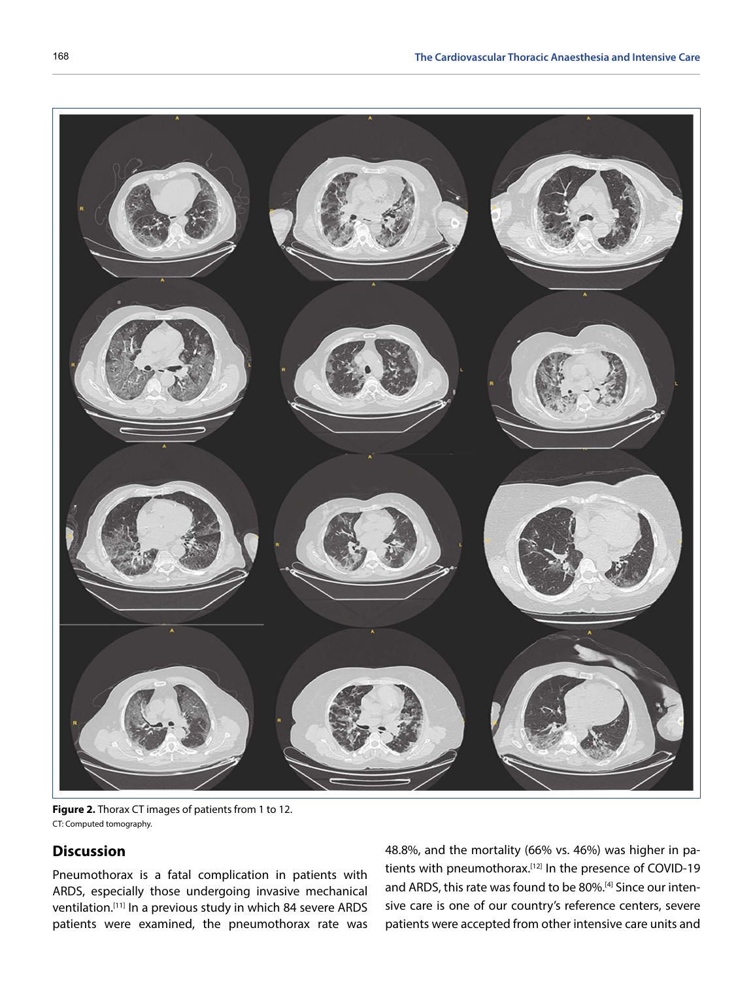

**Figure 2.** Thorax CT images of patients from 1 to 12. CT: Computed tomography.

# **Discussion**

Pneumothorax is a fatal complication in patients with ARDS, especially those undergoing invasive mechanical ventilation.[11] In a previous study in which 84 severe ARDS patients were examined, the pneumothorax rate was 48.8%, and the mortality (66% vs. 46%) was higher in patients with pneumothorax.<sup>[12]</sup> In the presence of COVID-19 and ARDS, this rate was found to be 80%.[4] Since our intensive care is one of our country's reference centers, severe patients were accepted from other intensive care units and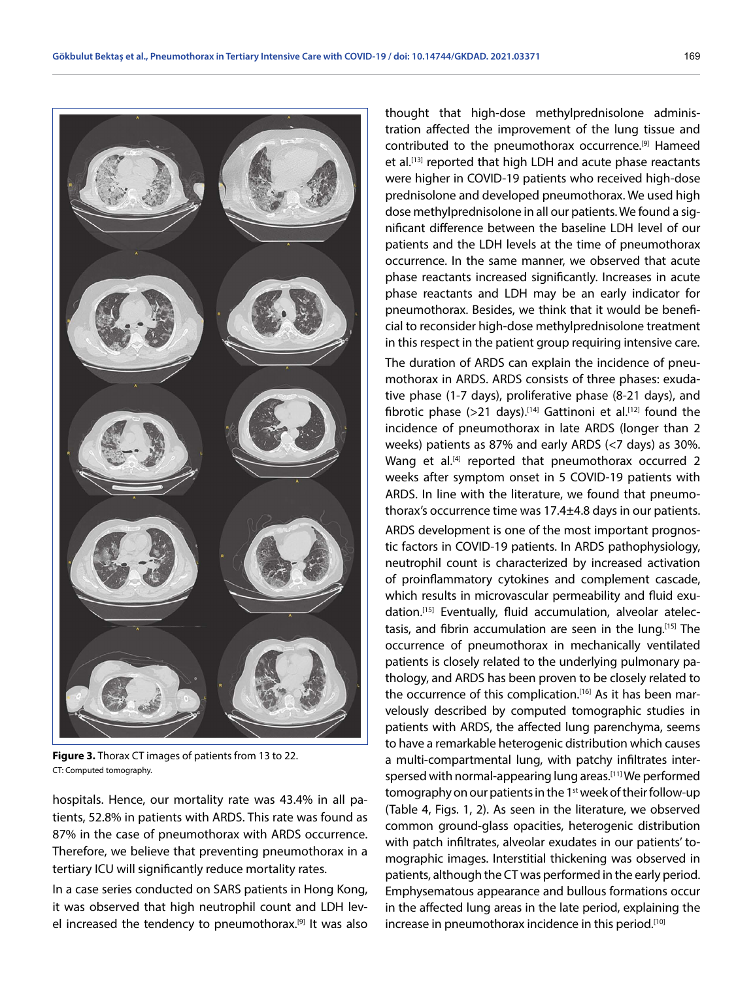

**Figure 3.** Thorax CT images of patients from 13 to 22. CT: Computed tomography.

hospitals. Hence, our mortality rate was 43.4% in all patients, 52.8% in patients with ARDS. This rate was found as 87% in the case of pneumothorax with ARDS occurrence. Therefore, we believe that preventing pneumothorax in a tertiary ICU will significantly reduce mortality rates.

In a case series conducted on SARS patients in Hong Kong, it was observed that high neutrophil count and LDH level increased the tendency to pneumothorax.<sup>[9]</sup> It was also

thought that high-dose methylprednisolone administration affected the improvement of the lung tissue and contributed to the pneumothorax occurrence.[9] Hameed et al.<sup>[13]</sup> reported that high LDH and acute phase reactants were higher in COVID-19 patients who received high-dose prednisolone and developed pneumothorax. We used high dose methylprednisolone in all our patients. We found a significant difference between the baseline LDH level of our patients and the LDH levels at the time of pneumothorax occurrence. In the same manner, we observed that acute phase reactants increased significantly. Increases in acute phase reactants and LDH may be an early indicator for pneumothorax. Besides, we think that it would be beneficial to reconsider high-dose methylprednisolone treatment in this respect in the patient group requiring intensive care. The duration of ARDS can explain the incidence of pneumothorax in ARDS. ARDS consists of three phases: exudative phase (1-7 days), proliferative phase (8-21 days), and fibrotic phase  $(>21$  days).<sup>[14]</sup> Gattinoni et al.<sup>[12]</sup> found the incidence of pneumothorax in late ARDS (longer than 2 weeks) patients as 87% and early ARDS (<7 days) as 30%. Wang et al. $[4]$  reported that pneumothorax occurred 2 weeks after symptom onset in 5 COVID-19 patients with ARDS. In line with the literature, we found that pneumothorax's occurrence time was 17.4±4.8 days in our patients.

ARDS development is one of the most important prognostic factors in COVID-19 patients. In ARDS pathophysiology, neutrophil count is characterized by increased activation of proinflammatory cytokines and complement cascade, which results in microvascular permeability and fluid exudation.[15] Eventually, fluid accumulation, alveolar atelectasis, and fibrin accumulation are seen in the lung.[15] The occurrence of pneumothorax in mechanically ventilated patients is closely related to the underlying pulmonary pathology, and ARDS has been proven to be closely related to the occurrence of this complication.<sup>[16]</sup> As it has been marvelously described by computed tomographic studies in patients with ARDS, the affected lung parenchyma, seems to have a remarkable heterogenic distribution which causes a multi-compartmental lung, with patchy infiltrates interspersed with normal-appearing lung areas.<sup>[11]</sup> We performed tomography on our patients in the 1<sup>st</sup> week of their follow-up (Table 4, Figs. 1, 2). As seen in the literature, we observed common ground-glass opacities, heterogenic distribution with patch infiltrates, alveolar exudates in our patients' tomographic images. Interstitial thickening was observed in patients, although the CT was performed in the early period. Emphysematous appearance and bullous formations occur in the affected lung areas in the late period, explaining the increase in pneumothorax incidence in this period.<sup>[10]</sup>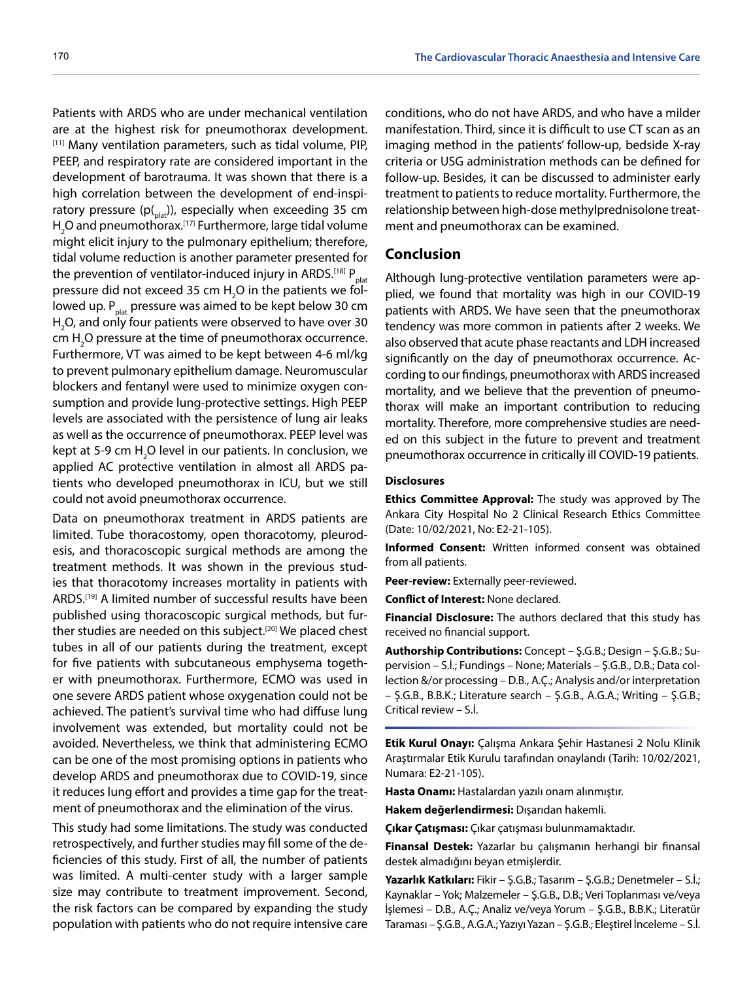Patients with ARDS who are under mechanical ventilation are at the highest risk for pneumothorax development. [11] Many ventilation parameters, such as tidal volume, PIP, PEEP, and respiratory rate are considered important in the development of barotrauma. It was shown that there is a high correlation between the development of end-inspiratory pressure ( $p_{\text{right}}$ ), especially when exceeding 35 cm  ${\sf H}_2$ O and pneumothorax. $^{\scriptscriptstyle [17]}$  Furthermore, large tidal volume might elicit injury to the pulmonary epithelium; therefore, tidal volume reduction is another parameter presented for the prevention of ventilator-induced injury in ARDS.<sup>[18]</sup>  $P_{\text{plat}}$ pressure did not exceed 35 cm  $\rm H_2O$  in the patients we followed up.  $P_{\text{plat}}$  pressure was aimed to be kept below 30 cm  $H_2$ O, and only four patients were observed to have over 30 cm  $H_2O$  pressure at the time of pneumothorax occurrence. Furthermore, VT was aimed to be kept between 4-6 ml/kg to prevent pulmonary epithelium damage. Neuromuscular blockers and fentanyl were used to minimize oxygen consumption and provide lung-protective settings. High PEEP levels are associated with the persistence of lung air leaks as well as the occurrence of pneumothorax. PEEP level was kept at 5-9 cm  $H_2O$  level in our patients. In conclusion, we applied AC protective ventilation in almost all ARDS patients who developed pneumothorax in ICU, but we still could not avoid pneumothorax occurrence.

Data on pneumothorax treatment in ARDS patients are limited. Tube thoracostomy, open thoracotomy, pleurodesis, and thoracoscopic surgical methods are among the treatment methods. It was shown in the previous studies that thoracotomy increases mortality in patients with ARDS.[19] A limited number of successful results have been published using thoracoscopic surgical methods, but further studies are needed on this subject.<sup>[20]</sup> We placed chest tubes in all of our patients during the treatment, except for five patients with subcutaneous emphysema together with pneumothorax. Furthermore, ECMO was used in one severe ARDS patient whose oxygenation could not be achieved. The patient's survival time who had diffuse lung involvement was extended, but mortality could not be avoided. Nevertheless, we think that administering ECMO can be one of the most promising options in patients who develop ARDS and pneumothorax due to COVID-19, since it reduces lung effort and provides a time gap for the treatment of pneumothorax and the elimination of the virus.

This study had some limitations. The study was conducted retrospectively, and further studies may fill some of the deficiencies of this study. First of all, the number of patients was limited. A multi-center study with a larger sample size may contribute to treatment improvement. Second, the risk factors can be compared by expanding the study population with patients who do not require intensive care

conditions, who do not have ARDS, and who have a milder manifestation. Third, since it is difficult to use CT scan as an imaging method in the patients' follow-up, bedside X-ray criteria or USG administration methods can be defined for follow-up. Besides, it can be discussed to administer early treatment to patients to reduce mortality. Furthermore, the relationship between high-dose methylprednisolone treatment and pneumothorax can be examined.

# **Conclusion**

Although lung-protective ventilation parameters were applied, we found that mortality was high in our COVID-19 patients with ARDS. We have seen that the pneumothorax tendency was more common in patients after 2 weeks. We also observed that acute phase reactants and LDH increased significantly on the day of pneumothorax occurrence. According to our findings, pneumothorax with ARDS increased mortality, and we believe that the prevention of pneumothorax will make an important contribution to reducing mortality. Therefore, more comprehensive studies are needed on this subject in the future to prevent and treatment pneumothorax occurrence in critically ill COVID-19 patients.

#### **Disclosures**

**Ethics Committee Approval:** The study was approved by The Ankara City Hospital No 2 Clinical Research Ethics Committee (Date: 10/02/2021, No: E2-21-105).

**Informed Consent:** Written informed consent was obtained from all patients.

**Peer-review:** Externally peer-reviewed.

**Conflict of Interest:** None declared.

**Financial Disclosure:** The authors declared that this study has received no financial support.

**Authorship Contributions:** Concept – Ş.G.B.; Design – Ş.G.B.; Supervision – S.İ.; Fundings – None; Materials – Ş.G.B., D.B.; Data collection &/or processing – D.B., A.Ç.; Analysis and/or interpretation – Ş.G.B., B.B.K.; Literature search – Ş.G.B., A.G.A.; Writing – Ş.G.B.; Critical review – S.İ.

**Etik Kurul Onayı:** Çalışma Ankara Şehir Hastanesi 2 Nolu Klinik Araştırmalar Etik Kurulu tarafından onaylandı (Tarih: 10/02/2021, Numara: E2-21-105).

**Hasta Onamı:** Hastalardan yazılı onam alınmıştır.

**Hakem değerlendirmesi:** Dışarıdan hakemli.

**Çıkar Çatışması:** Çıkar çatışması bulunmamaktadır.

**Finansal Destek:** Yazarlar bu çalışmanın herhangi bir finansal destek almadığını beyan etmişlerdir.

**Yazarlık Katkıları:** Fikir – Ş.G.B.; Tasarım – Ş.G.B.; Denetmeler – S.İ.; Kaynaklar – Yok; Malzemeler – Ş.G.B., D.B.; Veri Toplanması ve/veya İşlemesi – D.B., A.Ç.; Analiz ve/veya Yorum – Ş.G.B., B.B.K.; Literatür Taraması – Ş.G.B., A.G.A.; Yazıyı Yazan – Ş.G.B.; Eleştirel İnceleme – S.İ.